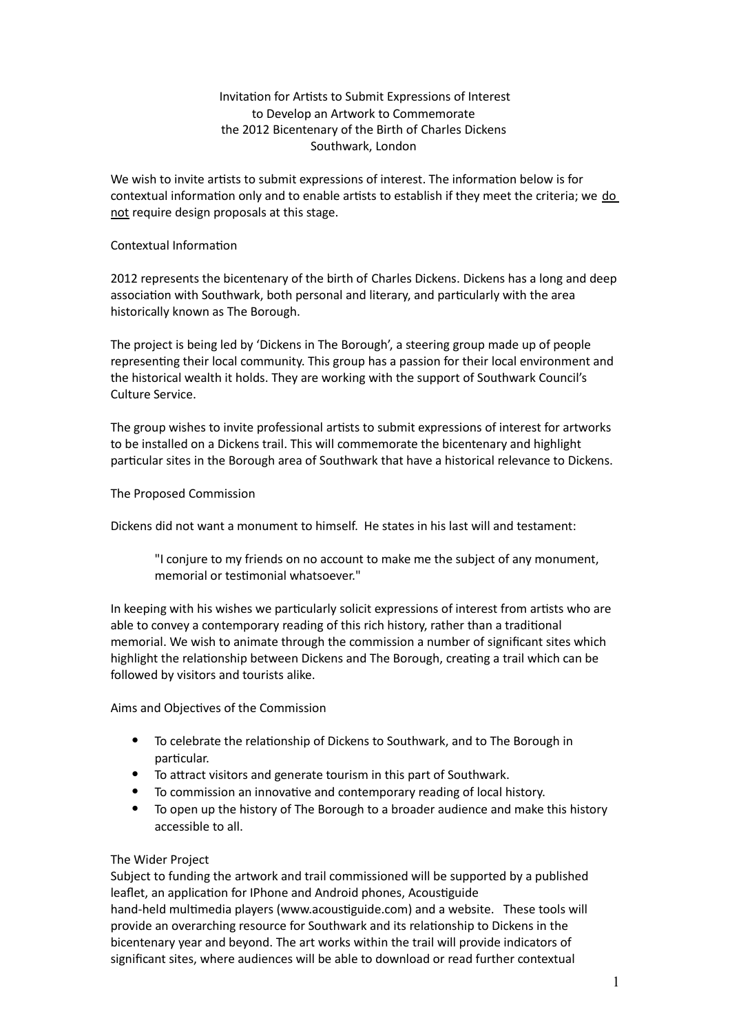# Invitation for Artists to Submit Expressions of Interest to Develop an Artwork to Commemorate the 2012 Bicentenary of the Birth of Charles Dickens Southwark, London

We wish to invite artists to submit expressions of interest. The information below is for contextual information only and to enable artists to establish if they meet the criteria; we do not require design proposals at this stage.

### Contextual Information

2012 represents the bicentenary of the birth of Charles Dickens. Dickens has a long and deep association with Southwark, both personal and literary, and particularly with the area historically known as The Borough.

The project is being led by 'Dickens in The Borough', a steering group made up of people representing their local community. This group has a passion for their local environment and the historical wealth it holds. They are working with the support of Southwark Council's Culture Service.

The group wishes to invite professional artists to submit expressions of interest for artworks to be installed on a Dickens trail. This will commemorate the bicentenary and highlight particular sites in the Borough area of Southwark that have a historical relevance to Dickens.

The Proposed Commission

Dickens did not want a monument to himself. He states in his last will and testament:

"I conjure to my friends on no account to make me the subject of any monument, memorial or testimonial whatsoever."

In keeping with his wishes we particularly solicit expressions of interest from artists who are able to convey a contemporary reading of this rich history, rather than a traditional memorial. We wish to animate through the commission a number of significant sites which highlight the relationship between Dickens and The Borough, creating a trail which can be followed by visitors and tourists alike.

Aims and Objectives of the Commission

- To celebrate the relationship of Dickens to Southwark, and to The Borough in particular.
- To attract visitors and generate tourism in this part of Southwark.
- To commission an innovative and contemporary reading of local history.
- To open up the history of The Borough to a broader audience and make this history accessible to all.

#### The Wider Project

Subject to funding the artwork and trail commissioned will be supported by a published leaflet, an application for IPhone and Android phones, Acoustiguide hand-held multimedia players (www.acoustiguide.com) and a website. These tools will provide an overarching resource for Southwark and its relationship to Dickens in the bicentenary year and beyond. The art works within the trail will provide indicators of significant sites, where audiences will be able to download or read further contextual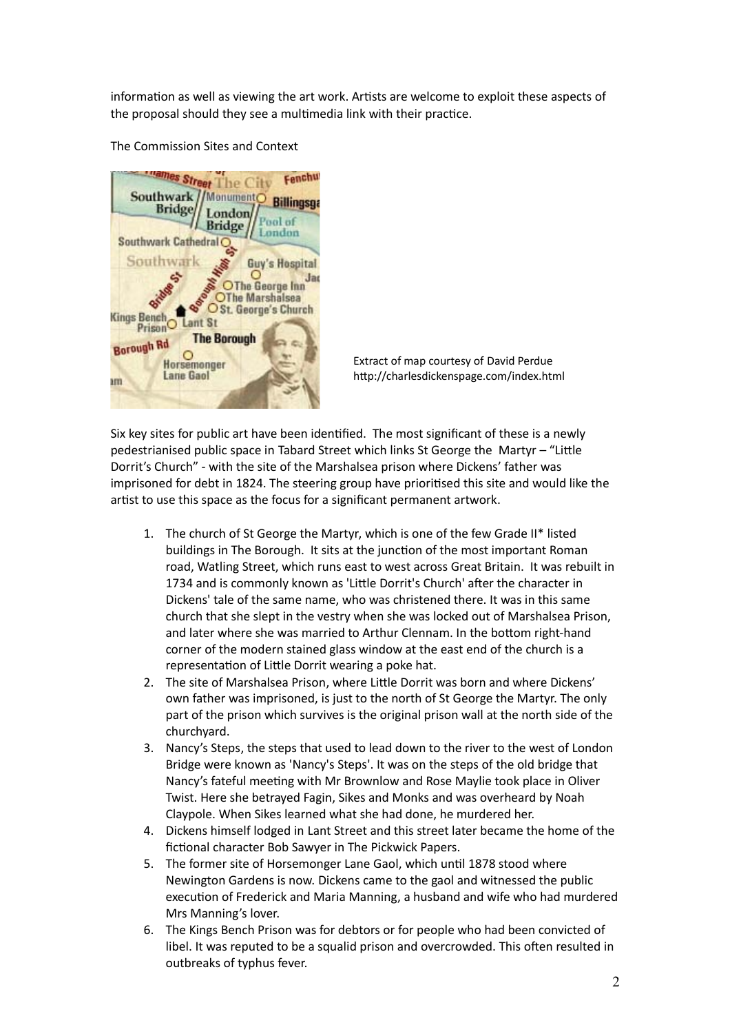information as well as viewing the art work. Artists are welcome to exploit these aspects of the proposal should they see a multimedia link with their practice.

nes Street Southwark Monument **Billingson Bridge** ondon Pool of **Bridge** London Southwark Cathedral C Southwark Guy's Hospital OThe George Inn OThe Marshalsea OSt. George's Church **Kings Bench**  $St$ ant Prison **The Borough Borough Rd**  $\circ$ Horsemonger **Lane Gaol** am

The Commission Sites and Context

Extract of map courtesy of David Perdue http://charlesdickenspage.com/index.html

Six key sites for public art have been identified. The most significant of these is a newly pedestrianised public space in Tabard Street which links St George the Martyr – "Little Dorrit's Church" - with the site of the Marshalsea prison where Dickens' father was imprisoned for debt in 1824. The steering group have prioritised this site and would like the artist to use this space as the focus for a significant permanent artwork.

- 1. The church of St George the Martyr, which is one of the few Grade II\* listed buildings in The Borough. It sits at the junction of the most important Roman road, Watling Street, which runs east to west across Great Britain. It was rebuilt in 1734 and is commonly known as 'Little Dorrit's Church' after the character in Dickens' tale of the same name, who was christened there. It was in this same church that she slept in the vestry when she was locked out of Marshalsea Prison, and later where she was married to Arthur Clennam. In the bottom right-hand corner of the modern stained glass window at the east end of the church is a representation of Little Dorrit wearing a poke hat.
- 2. The site of Marshalsea Prison, where Little Dorrit was born and where Dickens' own father was imprisoned, is just to the north of St George the Martyr. The only part of the prison which survives is the original prison wall at the north side of the churchyard.
- 3. Nancy's Steps, the steps that used to lead down to the river to the west of London Bridge were known as 'Nancy's Steps'. It was on the steps of the old bridge that Nancy's fateful meeting with Mr Brownlow and Rose Maylie took place in Oliver Twist. Here she betrayed Fagin, Sikes and Monks and was overheard by Noah Claypole. When Sikes learned what she had done, he murdered her.
- 4. Dickens himself lodged in Lant Street and this street later became the home of the fictional character Bob Sawyer in The Pickwick Papers.
- 5. The former site of Horsemonger Lane Gaol, which until 1878 stood where Newington Gardens is now. Dickens came to the gaol and witnessed the public execution of Frederick and Maria Manning, a husband and wife who had murdered Mrs Manning's lover.
- 6. The Kings Bench Prison was for debtors or for people who had been convicted of libel. It was reputed to be a squalid prison and overcrowded. This often resulted in outbreaks of typhus fever.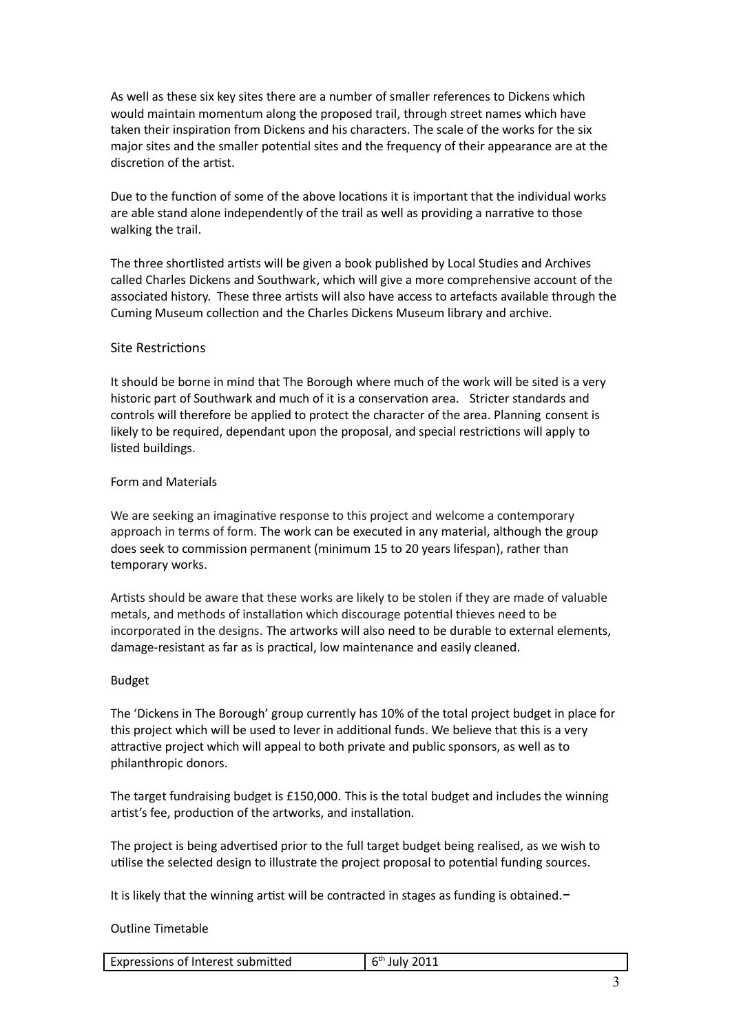As well as these six key sites there are a number of smaller references to Dickens which would maintain momentum along the proposed trail, through street names which have taken their inspiration from Dickens and his characters. The scale of the works for the six major sites and the smaller potential sites and the frequency of their appearance are at the discretion of the artist.

Due to the function of some of the above locations it is important that the individual works are able stand alone independently of the trail as well as providing a narrative to those walking the trail.

The three shortlisted artists will be given a book published by Local Studies and Archives called Charles Dickens and Southwark, which will give a more comprehensive account of the associated history. These three artists will also have access to artefacts available through the Cuming Museum collection and the Charles Dickens Museum library and archive.

## Site Restrictions

It should be borne in mind that The Borough where much of the work will be sited is a very historic part of Southwark and much of it is a conservation area. Stricter standards and controls will therefore be applied to protect the character of the area. Planning consent is likely to be required, dependant upon the proposal, and special restrictions will apply to listed buildings.

#### Form!and!Materials

We are seeking an imaginative response to this project and welcome a contemporary approach in terms of form. The work can be executed in any material, although the group does seek to commission permanent (minimum 15 to 20 years lifespan), rather than temporary works.

Artists should be aware that these works are likely to be stolen if they are made of valuable metals, and methods of installation which discourage potential thieves need to be incorporated in the designs. The artworks will also need to be durable to external elements, damage-resistant as far as is practical, low maintenance and easily cleaned.

#### Budget!

The 'Dickens in The Borough' group currently has 10% of the total project budget in place for this project which will be used to lever in additional funds. We believe that this is a very attractive project which will appeal to both private and public sponsors, as well as to philanthropic donors.

The target fundraising budget is  $£150,000$ . This is the total budget and includes the winning artist's fee, production of the artworks, and installation.

The project is being advertised prior to the full target budget being realised, as we wish to utilise the selected design to illustrate the project proposal to potential funding sources.

It is likely that the winning artist will be contracted in stages as funding is obtained. $-$ 

#### Outline Timetable

| Expressions of Interest submitted | 2011<br>∼™<br>July |
|-----------------------------------|--------------------|
|                                   |                    |